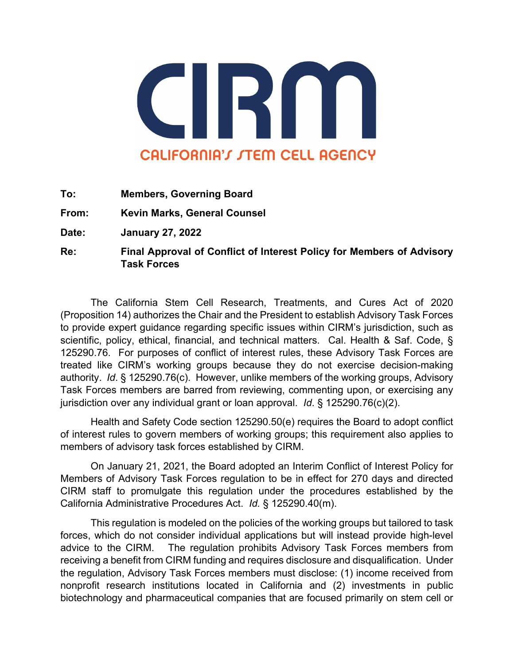

**To: Members, Governing Board**

**From: Kevin Marks, General Counsel** 

**Date: January 27, 2022** 

**Re: Final Approval of Conflict of Interest Policy for Members of Advisory Task Forces**

The California Stem Cell Research, Treatments, and Cures Act of 2020 (Proposition 14) authorizes the Chair and the President to establish Advisory Task Forces to provide expert guidance regarding specific issues within CIRM's jurisdiction, such as scientific, policy, ethical, financial, and technical matters. Cal. Health & Saf. Code, § 125290.76. For purposes of conflict of interest rules, these Advisory Task Forces are treated like CIRM's working groups because they do not exercise decision-making authority. *Id*. § 125290.76(c). However, unlike members of the working groups, Advisory Task Forces members are barred from reviewing, commenting upon, or exercising any jurisdiction over any individual grant or loan approval. *Id*. § 125290.76(c)(2).

Health and Safety Code section 125290.50(e) requires the Board to adopt conflict of interest rules to govern members of working groups; this requirement also applies to members of advisory task forces established by CIRM.

On January 21, 2021, the Board adopted an Interim Conflict of Interest Policy for Members of Advisory Task Forces regulation to be in effect for 270 days and directed CIRM staff to promulgate this regulation under the procedures established by the California Administrative Procedures Act. *Id.* § 125290.40(m).

This regulation is modeled on the policies of the working groups but tailored to task forces, which do not consider individual applications but will instead provide high-level advice to the CIRM. The regulation prohibits Advisory Task Forces members from receiving a benefit from CIRM funding and requires disclosure and disqualification. Under the regulation, Advisory Task Forces members must disclose: (1) income received from nonprofit research institutions located in California and (2) investments in public biotechnology and pharmaceutical companies that are focused primarily on stem cell or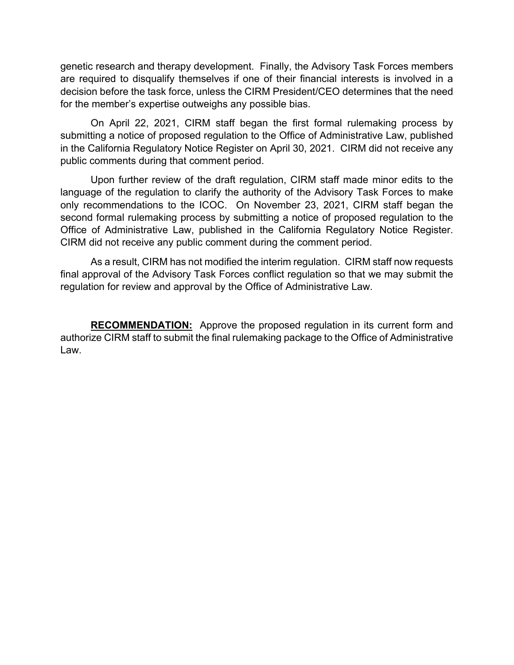genetic research and therapy development. Finally, the Advisory Task Forces members are required to disqualify themselves if one of their financial interests is involved in a decision before the task force, unless the CIRM President/CEO determines that the need for the member's expertise outweighs any possible bias.

On April 22, 2021, CIRM staff began the first formal rulemaking process by submitting a notice of proposed regulation to the Office of Administrative Law, published in the California Regulatory Notice Register on April 30, 2021. CIRM did not receive any public comments during that comment period.

Upon further review of the draft regulation, CIRM staff made minor edits to the language of the regulation to clarify the authority of the Advisory Task Forces to make only recommendations to the ICOC. On November 23, 2021, CIRM staff began the second formal rulemaking process by submitting a notice of proposed regulation to the Office of Administrative Law, published in the California Regulatory Notice Register. CIRM did not receive any public comment during the comment period.

As a result, CIRM has not modified the interim regulation. CIRM staff now requests final approval of the Advisory Task Forces conflict regulation so that we may submit the regulation for review and approval by the Office of Administrative Law.

**RECOMMENDATION:** Approve the proposed regulation in its current form and authorize CIRM staff to submit the final rulemaking package to the Office of Administrative Law.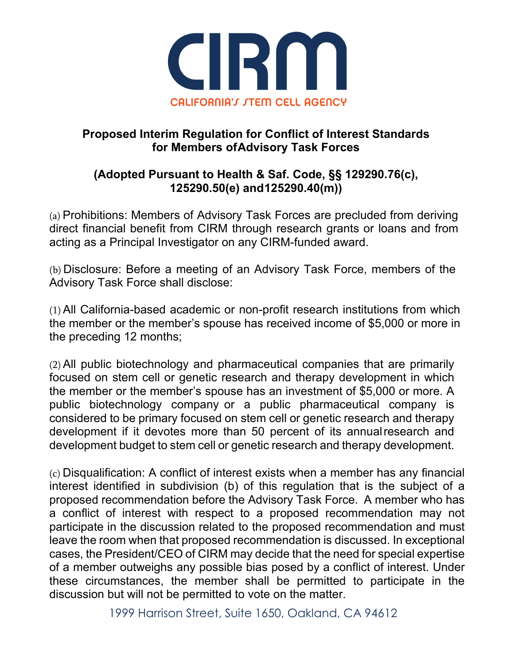

## **Proposed Interim Regulation for Conflict of Interest Standards for Members ofAdvisory Task Forces**

## **(Adopted Pursuant to Health & Saf. Code, §§ 129290.76(c), 125290.50(e) and125290.40(m))**

(a) Prohibitions: Members of Advisory Task Forces are precluded from deriving direct financial benefit from CIRM through research grants or loans and from acting as a Principal Investigator on any CIRM-funded award.

(b) Disclosure: Before a meeting of an Advisory Task Force, members of the Advisory Task Force shall disclose:

(1) All California-based academic or non-profit research institutions from which the member or the member's spouse has received income of \$5,000 or more in the preceding 12 months;

(2) All public biotechnology and pharmaceutical companies that are primarily focused on stem cell or genetic research and therapy development in which the member or the member's spouse has an investment of \$5,000 or more. A public biotechnology company or a public pharmaceutical company is considered to be primary focused on stem cell or genetic research and therapy development if it devotes more than 50 percent of its annualresearch and development budget to stem cell or genetic research and therapy development.

(c) Disqualification: A conflict of interest exists when a member has any financial interest identified in subdivision (b) of this regulation that is the subject of a proposed recommendation before the Advisory Task Force. A member who has a conflict of interest with respect to a proposed recommendation may not participate in the discussion related to the proposed recommendation and must leave the room when that proposed recommendation is discussed. In exceptional cases, the President/CEO of CIRM may decide that the need for special expertise of a member outweighs any possible bias posed by a conflict of interest. Under these circumstances, the member shall be permitted to participate in the discussion but will not be permitted to vote on the matter.

1999 Harrison Street, Suite 1650, Oakland, CA 94612